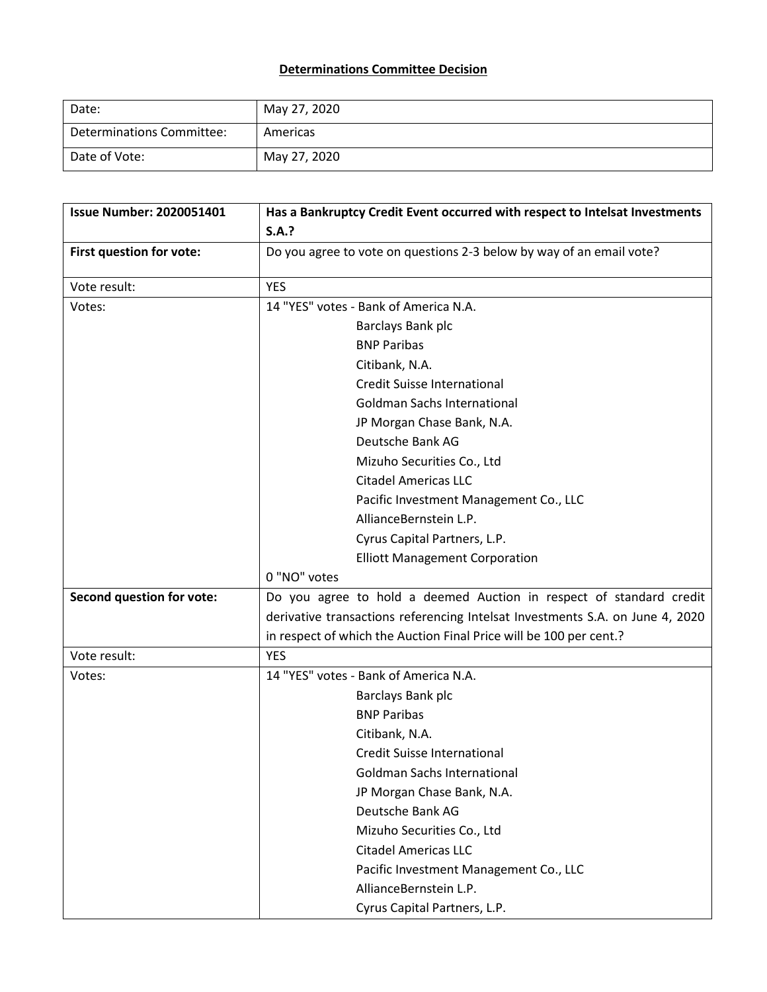## **Determinations Committee Decision**

| Date:                     | May 27, 2020 |
|---------------------------|--------------|
| Determinations Committee: | Americas     |
| Date of Vote:             | May 27, 2020 |

| <b>Issue Number: 2020051401</b> | Has a Bankruptcy Credit Event occurred with respect to Intelsat Investments   |
|---------------------------------|-------------------------------------------------------------------------------|
|                                 | S.A.?                                                                         |
| First question for vote:        | Do you agree to vote on questions 2-3 below by way of an email vote?          |
| Vote result:                    | <b>YES</b>                                                                    |
| Votes:                          | 14 "YES" votes - Bank of America N.A.                                         |
|                                 | Barclays Bank plc                                                             |
|                                 | <b>BNP Paribas</b>                                                            |
|                                 | Citibank, N.A.                                                                |
|                                 | <b>Credit Suisse International</b>                                            |
|                                 | <b>Goldman Sachs International</b>                                            |
|                                 | JP Morgan Chase Bank, N.A.                                                    |
|                                 | Deutsche Bank AG                                                              |
|                                 | Mizuho Securities Co., Ltd                                                    |
|                                 | <b>Citadel Americas LLC</b>                                                   |
|                                 | Pacific Investment Management Co., LLC                                        |
|                                 | AllianceBernstein L.P.                                                        |
|                                 | Cyrus Capital Partners, L.P.                                                  |
|                                 | <b>Elliott Management Corporation</b>                                         |
|                                 | 0 "NO" votes                                                                  |
| Second question for vote:       | Do you agree to hold a deemed Auction in respect of standard credit           |
|                                 | derivative transactions referencing Intelsat Investments S.A. on June 4, 2020 |
|                                 | in respect of which the Auction Final Price will be 100 per cent.?            |
| Vote result:                    | <b>YES</b>                                                                    |
| Votes:                          | 14 "YES" votes - Bank of America N.A.                                         |
|                                 | Barclays Bank plc                                                             |
|                                 | <b>BNP Paribas</b>                                                            |
|                                 | Citibank, N.A.                                                                |
|                                 | <b>Credit Suisse International</b>                                            |
|                                 | <b>Goldman Sachs International</b>                                            |
|                                 | JP Morgan Chase Bank, N.A.                                                    |
|                                 | Deutsche Bank AG                                                              |
|                                 | Mizuho Securities Co., Ltd                                                    |
|                                 | <b>Citadel Americas LLC</b>                                                   |
|                                 | Pacific Investment Management Co., LLC                                        |
|                                 | AllianceBernstein L.P.                                                        |
|                                 | Cyrus Capital Partners, L.P.                                                  |